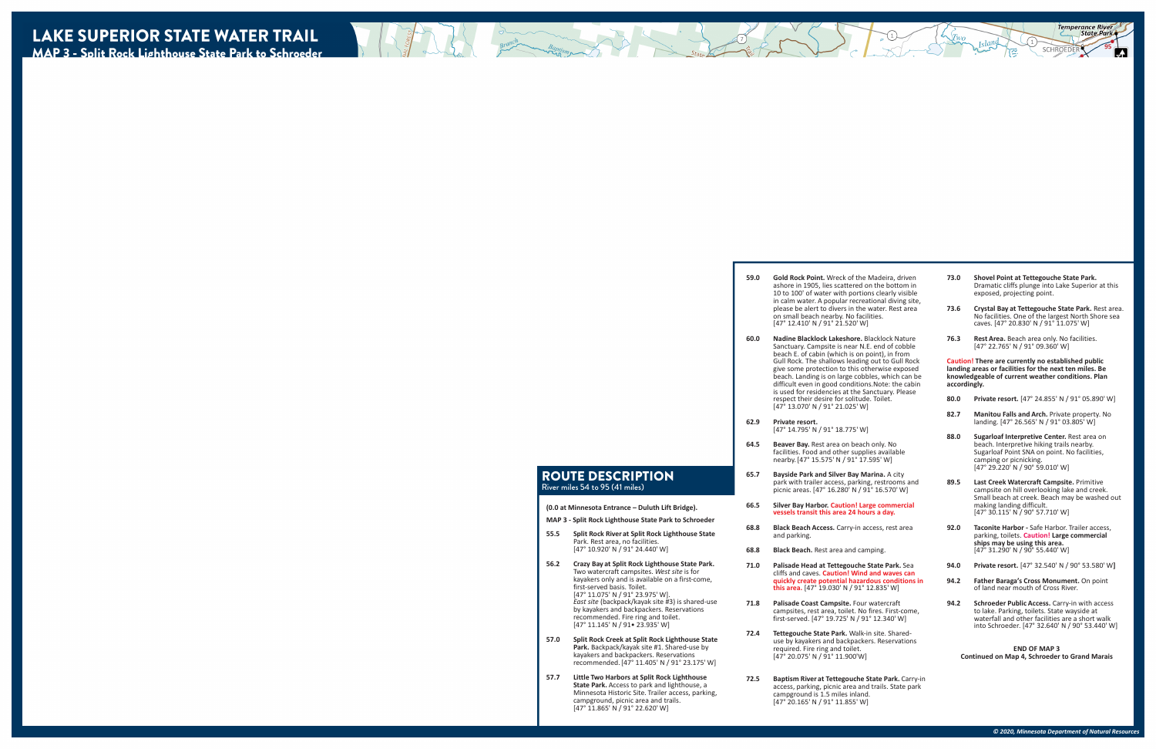#### ROUTE DESCRIPTION River miles 54 to 95 (41 miles)

- **59.0 Gold Rock Point.** Wreck of the Madeira, driven ashore in 1905, lies scattered on the bottom in 10 to 100' of water with portions clearly visible in calm water. A popular recreational diving site, please be alert to divers in the water. Rest area on small beach nearby. No facilities. [47° 12.410' N / 91° 21.520' W]
- **60.0 Nadine Blacklock Lakeshore.** Blacklock Nature Sanctuary. Campsite is near N.E. end of cobble beach E. of cabin (which is on point), in from Gull Rock. The shallows leading out to Gull Rock give some protection to this otherwise exposed beach. Landing is on large cobbles, which can be difficult even in good conditions.Note: the cabin is used for residencies at the Sanctuary. Please respect their desire for solitude. Toilet. [47° 13.070' N / 91° 21.025' W]
- **62.9 Private resort.** [47° 14.795' N / 91° 18.775' W]
- **64.5 Beaver Bay.** Rest area on beach only. No facilities. Food and other supplies available nearby.[47° 15.575' N / 91° 17.595' W]
- **65.7 Bayside Park and Silver Bay Marina.** A city park with trailer access, parking, restrooms and picnic areas. [47° 16.280' N / 91° 16.570' W]
- **66.5 Silver Bay Harbor. Caution! Large commercial vessels transit this area 24 hours a day.**
- **68.8 Black Beach Access.** Carry-in access, rest area and parking.
- **68.8 Black Beach.** Rest area and camping.
- **71.0 Palisade Head at Tettegouche State Park.** Sea cliffs and caves. **Caution! Wind and waves can quickly create potential hazardous conditions in this area.** [47° 19.030' N / 91° 12.835' W]
- **71.8 Palisade Coast Campsite.** Four watercraft campsites, rest area, toilet. No fires. First-come, first-served. [47° 19.725' N / 91° 12.340' W]
- **72.4 Tettegouche State Park.** Walk-in site. Shared use by kayakers and backpackers. Reservations required. Fire ring and toilet. [47° 20.075' N / 91° 11.900'W]
- **72.5 Baptism River at Tettegouche State Park.** Carry-in access, parking, picnic area and trails. State park campground is 1.5 miles inland. [47° 20.165' N / 91° 11.855' W]
- **73.0 Shovel Point at Tettegouche State Park.**  Dramatic cliffs plunge into Lake Superior at this exposed, projecting point.
- **73.6 Crystal Bay at Tettegouche State Park.** Rest area. No facilities. One of the largest North Shore sea caves. [47° 20.830' N / 91° 11.075' W]
- **76.3 Rest Area.** Beach area only. No facilities. [47° 22.765' N / 91° 09.360' W]

**Caution! There are currently no established public landing areas or facilities for the next ten miles. Be knowledgeable of current weather conditions. Plan accordingly.**

- **80.0 Private resort.** [47° 24.855' N / 91° 05.890' W]
- **82.7 Manitou Falls and Arch.** Private property. No landing. [47° 26.565' N / 91° 03.805' W]
- **88.0 Sugarloaf Interpretive Center.** Rest area on beach. Interpretive hiking trails nearby. Sugarloaf Point SNA on point. No facilities, camping or picnicking. [47° 29.220' N / 90° 59.010' W]
- **89.5 Last Creek Watercraft Campsite.** Primitive campsite on hill overlooking lake and creek. Small beach at creek. Beach may be washed out making landing difficult. [47° 30.115' N / 90° 57.710' W]
- **92.0 Taconite Harbor** Safe Harbor. Trailer access, parking, toilets. **Caution! Large commercial ships may be using this area.**  [47° 31.290' N / 90° 55.440' W]
- **94.0 Private resort.** [47° 32.540' N / 90° 53.580' W**]**
- **94.2 Father Baraga's Cross Monument.** On point of land near mouth of Cross River.
- **94.2 Schroeder Public Access.** Carry-in with access to lake. Parking, toilets. State wayside at waterfall and other facilities are a short walk into Schroeder. [47° 32.640' N / 90° 53.440' W]

#### **END OF MAP 3 Continued on Map 4, Schroeder to Grand Marais**

**(0.0 at Minnesota Entrance – Duluth Lift Bridge). MAP 3 - Split Rock Lighthouse State Park to Schroeder 55.5 Split Rock River at Split Rock Lighthouse State** 

- Park. Rest area, no facilities. [47° 10.920' N / 91° 24.440' W]
- **56.2 Crazy Bay at Split Rock Lighthouse State Park.**  Two watercraft campsites. *West site* is for kayakers only and is available on a first-come, first-served basis. Toilet. [47° 11.075' N / 91° 23.975' W]. *East site* (backpack/kayak site #3) is shared-use by kayakers and backpackers. Reservations recommended. Fire ring and toilet. [47° 11.145' N / 91• 23.935' W]
- **57.0 Split Rock Creek at Split Rock Lighthouse State Park.** Backpack/kayak site #1. Shared-use by kayakers and backpackers. Reservations recommended.[47° 11.405' N / 91° 23.175' W]
- **57.7 Little Two Harbors at Split Rock Lighthouse State Park.** Access to park and lighthouse, a Minnesota Historic Site. Trailer access, parking, campground, picnic area and trails. [47° 11.865' N / 91° 22.620' W]